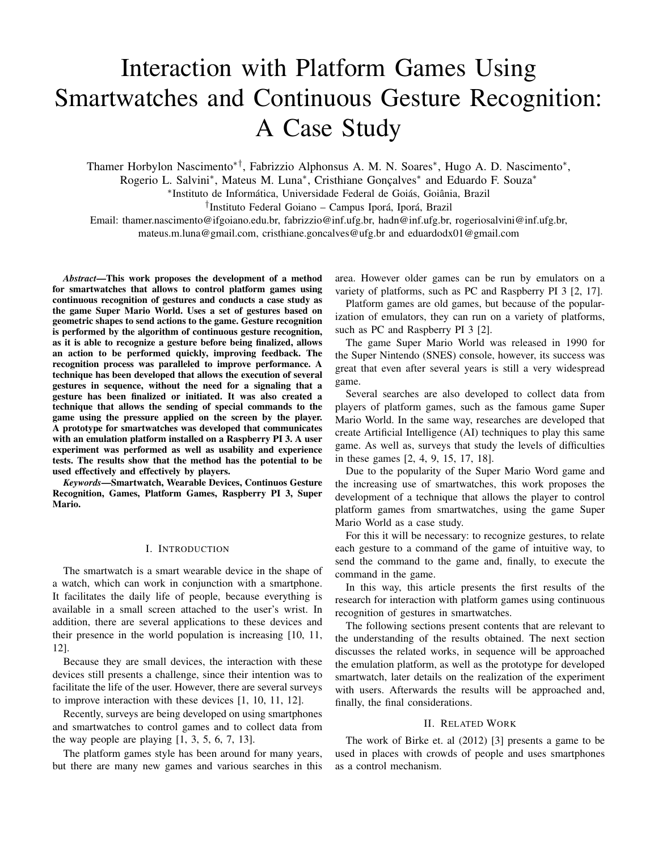# Interaction with Platform Games Using Smartwatches and Continuous Gesture Recognition: A Case Study

Thamer Horbylon Nascimento<sup>\*†</sup>, Fabrizzio Alphonsus A. M. N. Soares<sup>\*</sup>, Hugo A. D. Nascimento<sup>\*</sup>,

Rogerio L. Salvini<sup>\*</sup>, Mateus M. Luna<sup>\*</sup>, Cristhiane Gonçalves<sup>\*</sup> and Eduardo F. Souza<sup>\*</sup>

\*Instituto de Informática, Universidade Federal de Goiás, Goiânia, Brazil

<sup>†</sup>Instituto Federal Goiano – Campus Iporá, Iporá, Brazil

Email: thamer.nascimento@ifgoiano.edu.br, fabrizzio@inf.ufg.br, hadn@inf.ufg.br, rogeriosalvini@inf.ufg.br, mateus.m.luna@gmail.com, cristhiane.goncalves@ufg.br and eduardodx01@gmail.com

*Abstract*—This work proposes the development of a method for smartwatches that allows to control platform games using continuous recognition of gestures and conducts a case study as the game Super Mario World. Uses a set of gestures based on geometric shapes to send actions to the game. Gesture recognition is performed by the algorithm of continuous gesture recognition, as it is able to recognize a gesture before being finalized, allows an action to be performed quickly, improving feedback. The recognition process was paralleled to improve performance. A technique has been developed that allows the execution of several gestures in sequence, without the need for a signaling that a gesture has been finalized or initiated. It was also created a technique that allows the sending of special commands to the game using the pressure applied on the screen by the player. A prototype for smartwatches was developed that communicates with an emulation platform installed on a Raspberry PI 3. A user experiment was performed as well as usability and experience tests. The results show that the method has the potential to be used effectively and effectively by players.

*Keywords*—Smartwatch, Wearable Devices, Continuos Gesture Recognition, Games, Platform Games, Raspberry PI 3, Super Mario.

# I. INTRODUCTION

The smartwatch is a smart wearable device in the shape of a watch, which can work in conjunction with a smartphone. It facilitates the daily life of people, because everything is available in a small screen attached to the user's wrist. In addition, there are several applications to these devices and their presence in the world population is increasing [10, 11, 12].

Because they are small devices, the interaction with these devices still presents a challenge, since their intention was to facilitate the life of the user. However, there are several surveys to improve interaction with these devices [1, 10, 11, 12].

Recently, surveys are being developed on using smartphones and smartwatches to control games and to collect data from the way people are playing  $[1, 3, 5, 6, 7, 13]$ .

The platform games style has been around for many years, but there are many new games and various searches in this area. However older games can be run by emulators on a variety of platforms, such as PC and Raspberry PI 3 [2, 17].

Platform games are old games, but because of the popularization of emulators, they can run on a variety of platforms, such as PC and Raspberry PI 3 [2].

The game Super Mario World was released in 1990 for the Super Nintendo (SNES) console, however, its success was great that even after several years is still a very widespread game.

Several searches are also developed to collect data from players of platform games, such as the famous game Super Mario World. In the same way, researches are developed that create Artificial Intelligence (AI) techniques to play this same game. As well as, surveys that study the levels of difficulties in these games [2, 4, 9, 15, 17, 18].

Due to the popularity of the Super Mario Word game and the increasing use of smartwatches, this work proposes the development of a technique that allows the player to control platform games from smartwatches, using the game Super Mario World as a case study.

For this it will be necessary: to recognize gestures, to relate each gesture to a command of the game of intuitive way, to send the command to the game and, finally, to execute the command in the game.

In this way, this article presents the first results of the research for interaction with platform games using continuous recognition of gestures in smartwatches.

The following sections present contents that are relevant to the understanding of the results obtained. The next section discusses the related works, in sequence will be approached the emulation platform, as well as the prototype for developed smartwatch, later details on the realization of the experiment with users. Afterwards the results will be approached and, finally, the final considerations.

## II. RELATED WORK

The work of Birke et. al (2012) [3] presents a game to be used in places with crowds of people and uses smartphones as a control mechanism.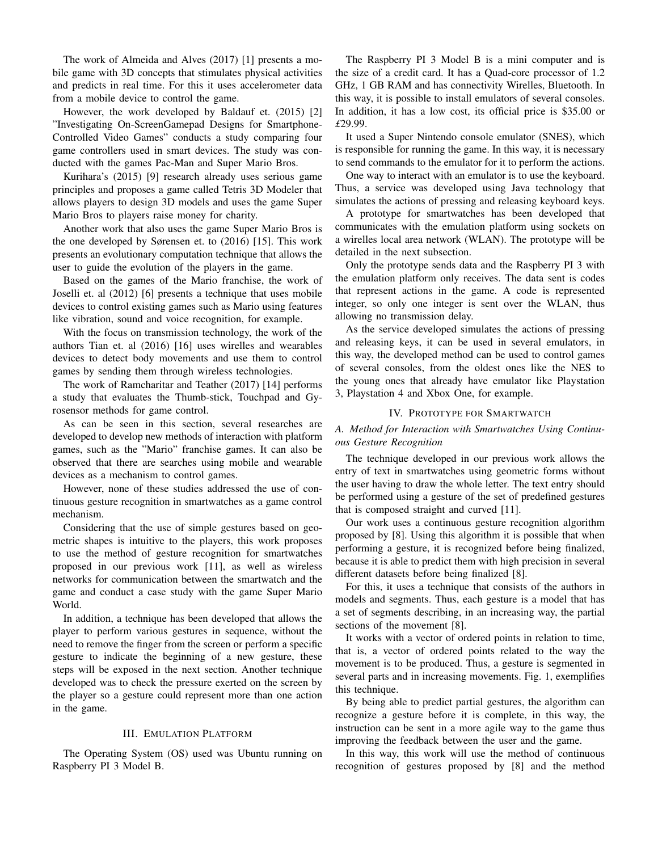The work of Almeida and Alves (2017) [1] presents a mobile game with 3D concepts that stimulates physical activities and predicts in real time. For this it uses accelerometer data from a mobile device to control the game.

However, the work developed by Baldauf et. (2015) [2] "Investigating On-ScreenGamepad Designs for Smartphone-Controlled Video Games" conducts a study comparing four game controllers used in smart devices. The study was conducted with the games Pac-Man and Super Mario Bros.

Kurihara's (2015) [9] research already uses serious game principles and proposes a game called Tetris 3D Modeler that allows players to design 3D models and uses the game Super Mario Bros to players raise money for charity.

Another work that also uses the game Super Mario Bros is the one developed by Sørensen et. to (2016) [15]. This work presents an evolutionary computation technique that allows the user to guide the evolution of the players in the game.

Based on the games of the Mario franchise, the work of Joselli et. al (2012) [6] presents a technique that uses mobile devices to control existing games such as Mario using features like vibration, sound and voice recognition, for example.

With the focus on transmission technology, the work of the authors Tian et. al (2016) [16] uses wirelles and wearables devices to detect body movements and use them to control games by sending them through wireless technologies.

The work of Ramcharitar and Teather (2017) [14] performs a study that evaluates the Thumb-stick, Touchpad and Gyrosensor methods for game control.

As can be seen in this section, several researches are developed to develop new methods of interaction with platform games, such as the "Mario" franchise games. It can also be observed that there are searches using mobile and wearable devices as a mechanism to control games.

However, none of these studies addressed the use of continuous gesture recognition in smartwatches as a game control mechanism.

Considering that the use of simple gestures based on geometric shapes is intuitive to the players, this work proposes to use the method of gesture recognition for smartwatches proposed in our previous work [11], as well as wireless networks for communication between the smartwatch and the game and conduct a case study with the game Super Mario World.

In addition, a technique has been developed that allows the player to perform various gestures in sequence, without the need to remove the finger from the screen or perform a specific gesture to indicate the beginning of a new gesture, these steps will be exposed in the next section. Another technique developed was to check the pressure exerted on the screen by the player so a gesture could represent more than one action in the game.

#### III. EMULATION PLATFORM

The Operating System (OS) used was Ubuntu running on Raspberry PI 3 Model B.

The Raspberry PI 3 Model B is a mini computer and is the size of a credit card. It has a Quad-core processor of 1.2 GHz, 1 GB RAM and has connectivity Wirelles, Bluetooth. In this way, it is possible to install emulators of several consoles. In addition, it has a low cost, its official price is \$35.00 or *£*29.99.

It used a Super Nintendo console emulator (SNES), which is responsible for running the game. In this way, it is necessary to send commands to the emulator for it to perform the actions.

One way to interact with an emulator is to use the keyboard. Thus, a service was developed using Java technology that simulates the actions of pressing and releasing keyboard keys.

A prototype for smartwatches has been developed that communicates with the emulation platform using sockets on a wirelles local area network (WLAN). The prototype will be detailed in the next subsection.

Only the prototype sends data and the Raspberry PI 3 with the emulation platform only receives. The data sent is codes that represent actions in the game. A code is represented integer, so only one integer is sent over the WLAN, thus allowing no transmission delay.

As the service developed simulates the actions of pressing and releasing keys, it can be used in several emulators, in this way, the developed method can be used to control games of several consoles, from the oldest ones like the NES to the young ones that already have emulator like Playstation 3, Playstation 4 and Xbox One, for example.

#### IV. PROTOTYPE FOR SMARTWATCH

# *A. Method for Interaction with Smartwatches Using Continuous Gesture Recognition*

The technique developed in our previous work allows the entry of text in smartwatches using geometric forms without the user having to draw the whole letter. The text entry should be performed using a gesture of the set of predefined gestures that is composed straight and curved [11].

Our work uses a continuous gesture recognition algorithm proposed by [8]. Using this algorithm it is possible that when performing a gesture, it is recognized before being finalized, because it is able to predict them with high precision in several different datasets before being finalized [8].

For this, it uses a technique that consists of the authors in models and segments. Thus, each gesture is a model that has a set of segments describing, in an increasing way, the partial sections of the movement [8].

It works with a vector of ordered points in relation to time, that is, a vector of ordered points related to the way the movement is to be produced. Thus, a gesture is segmented in several parts and in increasing movements. Fig. 1, exemplifies this technique.

By being able to predict partial gestures, the algorithm can recognize a gesture before it is complete, in this way, the instruction can be sent in a more agile way to the game thus improving the feedback between the user and the game.

In this way, this work will use the method of continuous recognition of gestures proposed by [8] and the method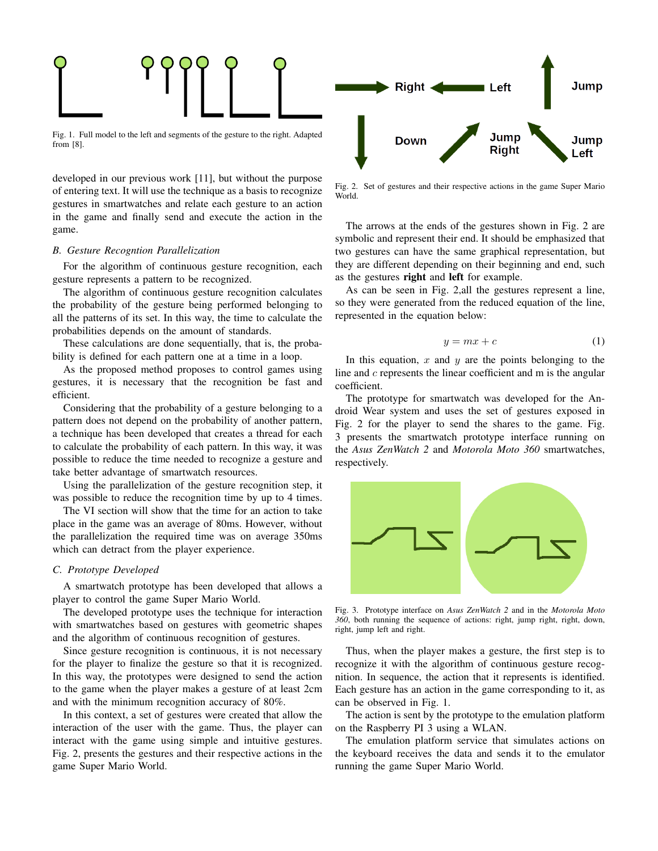

Fig. 1. Full model to the left and segments of the gesture to the right. Adapted from [8].

developed in our previous work [11], but without the purpose of entering text. It will use the technique as a basis to recognize gestures in smartwatches and relate each gesture to an action in the game and finally send and execute the action in the game.

## *B. Gesture Recogntion Parallelization*

For the algorithm of continuous gesture recognition, each gesture represents a pattern to be recognized.

The algorithm of continuous gesture recognition calculates the probability of the gesture being performed belonging to all the patterns of its set. In this way, the time to calculate the probabilities depends on the amount of standards.

These calculations are done sequentially, that is, the probability is defined for each pattern one at a time in a loop.

As the proposed method proposes to control games using gestures, it is necessary that the recognition be fast and efficient.

Considering that the probability of a gesture belonging to a pattern does not depend on the probability of another pattern, a technique has been developed that creates a thread for each to calculate the probability of each pattern. In this way, it was possible to reduce the time needed to recognize a gesture and take better advantage of smartwatch resources.

Using the parallelization of the gesture recognition step, it was possible to reduce the recognition time by up to 4 times.

The VI section will show that the time for an action to take place in the game was an average of 80ms. However, without the parallelization the required time was on average 350ms which can detract from the player experience.

### *C. Prototype Developed*

A smartwatch prototype has been developed that allows a player to control the game Super Mario World.

The developed prototype uses the technique for interaction with smartwatches based on gestures with geometric shapes and the algorithm of continuous recognition of gestures.

Since gesture recognition is continuous, it is not necessary for the player to finalize the gesture so that it is recognized. In this way, the prototypes were designed to send the action to the game when the player makes a gesture of at least 2cm and with the minimum recognition accuracy of 80%.

In this context, a set of gestures were created that allow the interaction of the user with the game. Thus, the player can interact with the game using simple and intuitive gestures. Fig. 2, presents the gestures and their respective actions in the game Super Mario World.



Fig. 2. Set of gestures and their respective actions in the game Super Mario World.

The arrows at the ends of the gestures shown in Fig. 2 are symbolic and represent their end. It should be emphasized that two gestures can have the same graphical representation, but they are different depending on their beginning and end, such as the gestures right and left for example.

As can be seen in Fig. 2,all the gestures represent a line, so they were generated from the reduced equation of the line, represented in the equation below:

$$
y = mx + c \tag{1}
$$

In this equation,  $x$  and  $y$  are the points belonging to the line and  $c$  represents the linear coefficient and  $m$  is the angular coefficient.

The prototype for smartwatch was developed for the Android Wear system and uses the set of gestures exposed in Fig. 2 for the player to send the shares to the game. Fig. 3 presents the smartwatch prototype interface running on the *Asus ZenWatch 2* and *Motorola Moto 360* smartwatches, respectively.



Fig. 3. Prototype interface on *Asus ZenWatch 2* and in the *Motorola Moto 360*, both running the sequence of actions: right, jump right, right, down, right, jump left and right.

Thus, when the player makes a gesture, the first step is to recognize it with the algorithm of continuous gesture recognition. In sequence, the action that it represents is identified. Each gesture has an action in the game corresponding to it, as can be observed in Fig. 1.

The action is sent by the prototype to the emulation platform on the Raspberry PI 3 using a WLAN.

The emulation platform service that simulates actions on the keyboard receives the data and sends it to the emulator running the game Super Mario World.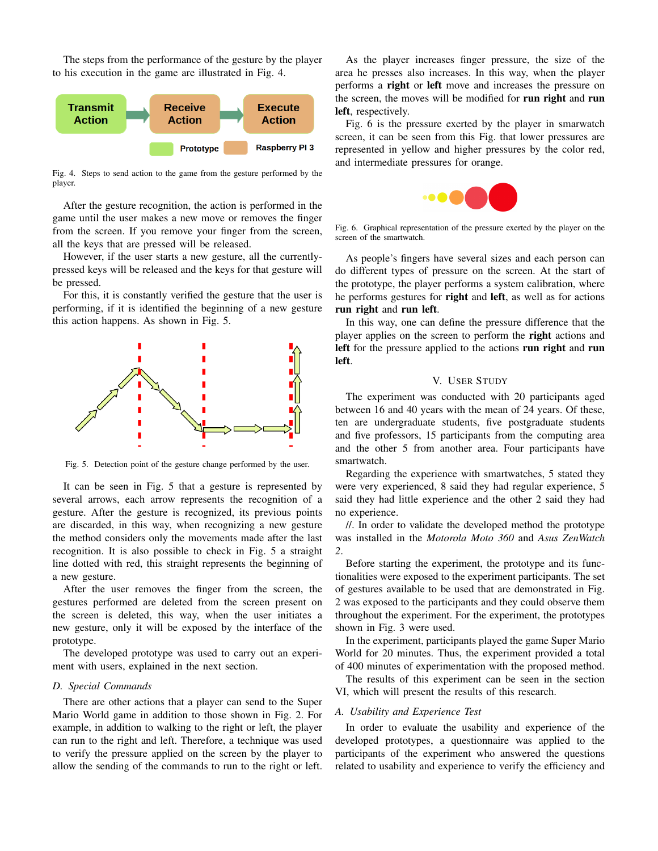The steps from the performance of the gesture by the player to his execution in the game are illustrated in Fig. 4.



Fig. 4. Steps to send action to the game from the gesture performed by the player.

After the gesture recognition, the action is performed in the game until the user makes a new move or removes the finger from the screen. If you remove your finger from the screen, all the keys that are pressed will be released.

However, if the user starts a new gesture, all the currentlypressed keys will be released and the keys for that gesture will be pressed.

For this, it is constantly verified the gesture that the user is performing, if it is identified the beginning of a new gesture this action happens. As shown in Fig. 5.



Fig. 5. Detection point of the gesture change performed by the user.

It can be seen in Fig. 5 that a gesture is represented by several arrows, each arrow represents the recognition of a gesture. After the gesture is recognized, its previous points are discarded, in this way, when recognizing a new gesture the method considers only the movements made after the last recognition. It is also possible to check in Fig. 5 a straight line dotted with red, this straight represents the beginning of a new gesture.

After the user removes the finger from the screen, the gestures performed are deleted from the screen present on the screen is deleted, this way, when the user initiates a new gesture, only it will be exposed by the interface of the prototype.

The developed prototype was used to carry out an experiment with users, explained in the next section.

# *D. Special Commands*

There are other actions that a player can send to the Super Mario World game in addition to those shown in Fig. 2. For example, in addition to walking to the right or left, the player can run to the right and left. Therefore, a technique was used to verify the pressure applied on the screen by the player to allow the sending of the commands to run to the right or left.

As the player increases finger pressure, the size of the area he presses also increases. In this way, when the player performs a right or left move and increases the pressure on the screen, the moves will be modified for run right and run left, respectively.

Fig. 6 is the pressure exerted by the player in smarwatch screen, it can be seen from this Fig. that lower pressures are represented in yellow and higher pressures by the color red, and intermediate pressures for orange.



Fig. 6. Graphical representation of the pressure exerted by the player on the screen of the smartwatch.

As people's fingers have several sizes and each person can do different types of pressure on the screen. At the start of the prototype, the player performs a system calibration, where he performs gestures for **right** and **left**, as well as for actions run right and run left.

In this way, one can define the pressure difference that the player applies on the screen to perform the right actions and left for the pressure applied to the actions run right and run left.

### V. USER STUDY

The experiment was conducted with 20 participants aged between 16 and 40 years with the mean of 24 years. Of these, ten are undergraduate students, five postgraduate students and five professors, 15 participants from the computing area and the other 5 from another area. Four participants have smartwatch.

Regarding the experience with smartwatches, 5 stated they were very experienced, 8 said they had regular experience, 5 said they had little experience and the other 2 said they had no experience.

//. In order to validate the developed method the prototype was installed in the *Motorola Moto 360* and *Asus ZenWatch 2*.

Before starting the experiment, the prototype and its functionalities were exposed to the experiment participants. The set of gestures available to be used that are demonstrated in Fig. 2 was exposed to the participants and they could observe them throughout the experiment. For the experiment, the prototypes shown in Fig. 3 were used.

In the experiment, participants played the game Super Mario World for 20 minutes. Thus, the experiment provided a total of 400 minutes of experimentation with the proposed method.

The results of this experiment can be seen in the section VI, which will present the results of this research.

#### *A. Usability and Experience Test*

In order to evaluate the usability and experience of the developed prototypes, a questionnaire was applied to the participants of the experiment who answered the questions related to usability and experience to verify the efficiency and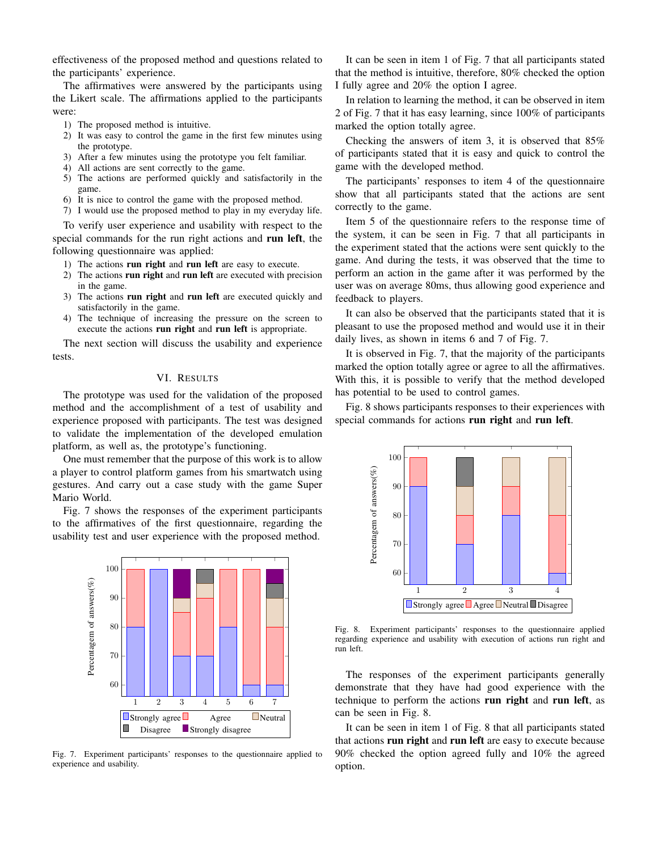effectiveness of the proposed method and questions related to the participants' experience.

The affirmatives were answered by the participants using the Likert scale. The affirmations applied to the participants were:

- 1) The proposed method is intuitive.
- 2) It was easy to control the game in the first few minutes using the prototype.
- 3) After a few minutes using the prototype you felt familiar.
- 4) All actions are sent correctly to the game.
- 5) The actions are performed quickly and satisfactorily in the game.
- 6) It is nice to control the game with the proposed method.
- 7) I would use the proposed method to play in my everyday life.

To verify user experience and usability with respect to the special commands for the run right actions and run left, the following questionnaire was applied:

- 1) The actions run right and run left are easy to execute.
- 2) The actions run right and run left are executed with precision in the game.
- 3) The actions run right and run left are executed quickly and satisfactorily in the game.
- 4) The technique of increasing the pressure on the screen to execute the actions run right and run left is appropriate.

The next section will discuss the usability and experience tests.

# VI. RESULTS

The prototype was used for the validation of the proposed method and the accomplishment of a test of usability and experience proposed with participants. The test was designed to validate the implementation of the developed emulation platform, as well as, the prototype's functioning.

One must remember that the purpose of this work is to allow a player to control platform games from his smartwatch using gestures. And carry out a case study with the game Super Mario World.

Fig. 7 shows the responses of the experiment participants to the affirmatives of the first questionnaire, regarding the usability test and user experience with the proposed method.



Fig. 7. Experiment participants' responses to the questionnaire applied to experience and usability.

It can be seen in item 1 of Fig. 7 that all participants stated that the method is intuitive, therefore, 80% checked the option I fully agree and 20% the option I agree.

In relation to learning the method, it can be observed in item 2 of Fig. 7 that it has easy learning, since 100% of participants marked the option totally agree.

Checking the answers of item 3, it is observed that 85% of participants stated that it is easy and quick to control the game with the developed method.

The participants' responses to item 4 of the questionnaire show that all participants stated that the actions are sent correctly to the game.

Item 5 of the questionnaire refers to the response time of the system, it can be seen in Fig. 7 that all participants in the experiment stated that the actions were sent quickly to the game. And during the tests, it was observed that the time to perform an action in the game after it was performed by the user was on average 80ms, thus allowing good experience and feedback to players.

It can also be observed that the participants stated that it is pleasant to use the proposed method and would use it in their daily lives, as shown in items 6 and 7 of Fig. 7.

It is observed in Fig. 7, that the majority of the participants marked the option totally agree or agree to all the affirmatives. With this, it is possible to verify that the method developed has potential to be used to control games.

Fig. 8 shows participants responses to their experiences with special commands for actions run right and run left.



Fig. 8. Experiment participants' responses to the questionnaire applied regarding experience and usability with execution of actions run right and run left.

The responses of the experiment participants generally demonstrate that they have had good experience with the technique to perform the actions run right and run left, as can be seen in Fig. 8.

It can be seen in item 1 of Fig. 8 that all participants stated that actions run right and run left are easy to execute because 90% checked the option agreed fully and 10% the agreed option.